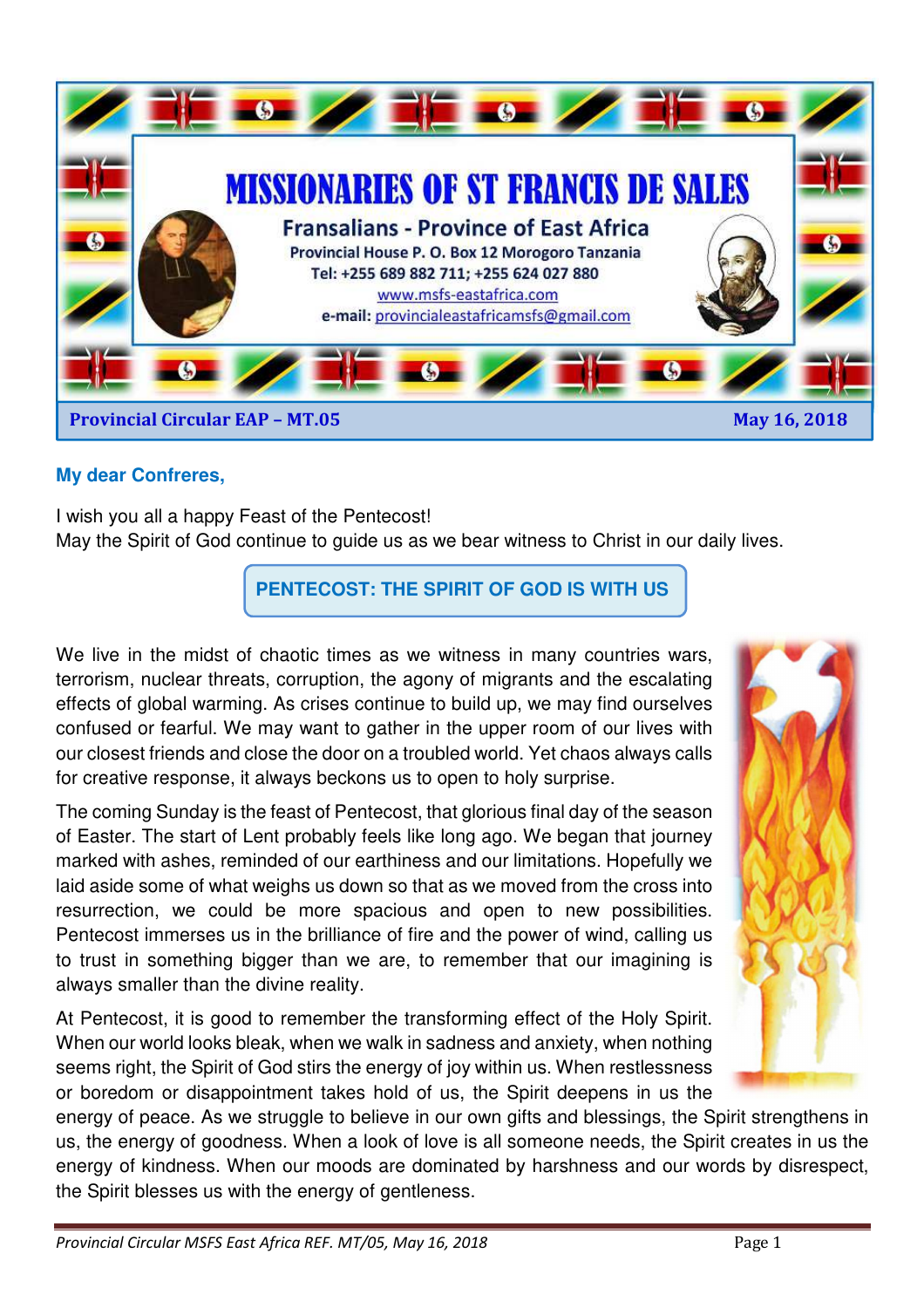

## **My dear Confreres,**

I wish you all a happy Feast of the Pentecost! May the Spirit of God continue to guide us as we bear witness to Christ in our daily lives.

**PENTECOST: THE SPIRIT OF GOD IS WITH US** 

We live in the midst of chaotic times as we witness in many countries wars, terrorism, nuclear threats, corruption, the agony of migrants and the escalating effects of global warming. As crises continue to build up, we may find ourselves confused or fearful. We may want to gather in the upper room of our lives with our closest friends and close the door on a troubled world. Yet chaos always calls for creative response, it always beckons us to open to holy surprise.

The coming Sunday is the feast of Pentecost, that glorious final day of the season of Easter. The start of Lent probably feels like long ago. We began that journey marked with ashes, reminded of our earthiness and our limitations. Hopefully we laid aside some of what weighs us down so that as we moved from the cross into resurrection, we could be more spacious and open to new possibilities. Pentecost immerses us in the brilliance of fire and the power of wind, calling us to trust in something bigger than we are, to remember that our imagining is always smaller than the divine reality.

At Pentecost, it is good to remember the transforming effect of the Holy Spirit. When our world looks bleak, when we walk in sadness and anxiety, when nothing seems right, the Spirit of God stirs the energy of joy within us. When restlessness or boredom or disappointment takes hold of us, the Spirit deepens in us the

energy of peace. As we struggle to believe in our own gifts and blessings, the Spirit strengthens in us, the energy of goodness. When a look of love is all someone needs, the Spirit creates in us the energy of kindness. When our moods are dominated by harshness and our words by disrespect, the Spirit blesses us with the energy of gentleness.

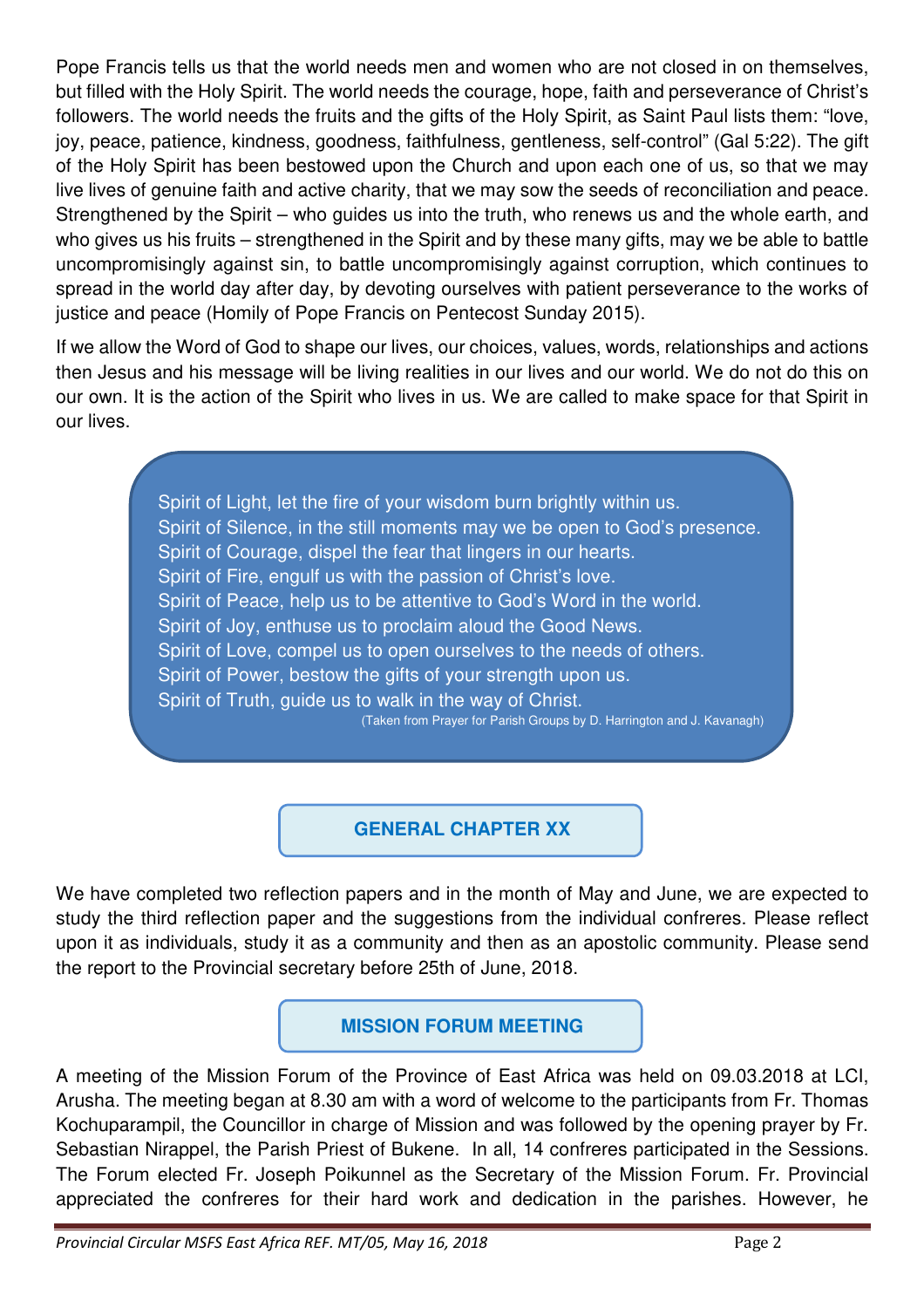Pope Francis tells us that the world needs men and women who are not closed in on themselves, but filled with the Holy Spirit. The world needs the courage, hope, faith and perseverance of Christ's followers. The world needs the fruits and the gifts of the Holy Spirit, as Saint Paul lists them: "love, joy, peace, patience, kindness, goodness, faithfulness, gentleness, self-control" (Gal 5:22). The gift of the Holy Spirit has been bestowed upon the Church and upon each one of us, so that we may live lives of genuine faith and active charity, that we may sow the seeds of reconciliation and peace. Strengthened by the Spirit – who guides us into the truth, who renews us and the whole earth, and who gives us his fruits – strengthened in the Spirit and by these many gifts, may we be able to battle uncompromisingly against sin, to battle uncompromisingly against corruption, which continues to spread in the world day after day, by devoting ourselves with patient perseverance to the works of justice and peace (Homily of Pope Francis on Pentecost Sunday 2015).

If we allow the Word of God to shape our lives, our choices, values, words, relationships and actions then Jesus and his message will be living realities in our lives and our world. We do not do this on our own. It is the action of the Spirit who lives in us. We are called to make space for that Spirit in our lives.

> Spirit of Light, let the fire of your wisdom burn brightly within us. Spirit of Silence, in the still moments may we be open to God's presence. Spirit of Courage, dispel the fear that lingers in our hearts. Spirit of Fire, engulf us with the passion of Christ's love. Spirit of Peace, help us to be attentive to God's Word in the world. Spirit of Joy, enthuse us to proclaim aloud the Good News. Spirit of Love, compel us to open ourselves to the needs of others. Spirit of Power, bestow the gifts of your strength upon us. Spirit of Truth, guide us to walk in the way of Christ. (Taken from Prayer for Parish Groups by D. Harrington and J. Kavanagh)

# **GENERAL CHAPTER XX**

We have completed two reflection papers and in the month of May and June, we are expected to study the third reflection paper and the suggestions from the individual confreres. Please reflect upon it as individuals, study it as a community and then as an apostolic community. Please send the report to the Provincial secretary before 25th of June, 2018.

## **MISSION FORUM MEETING**

A meeting of the Mission Forum of the Province of East Africa was held on 09.03.2018 at LCI, Arusha. The meeting began at 8.30 am with a word of welcome to the participants from Fr. Thomas Kochuparampil, the Councillor in charge of Mission and was followed by the opening prayer by Fr. Sebastian Nirappel, the Parish Priest of Bukene. In all, 14 confreres participated in the Sessions. The Forum elected Fr. Joseph Poikunnel as the Secretary of the Mission Forum. Fr. Provincial appreciated the confreres for their hard work and dedication in the parishes. However, he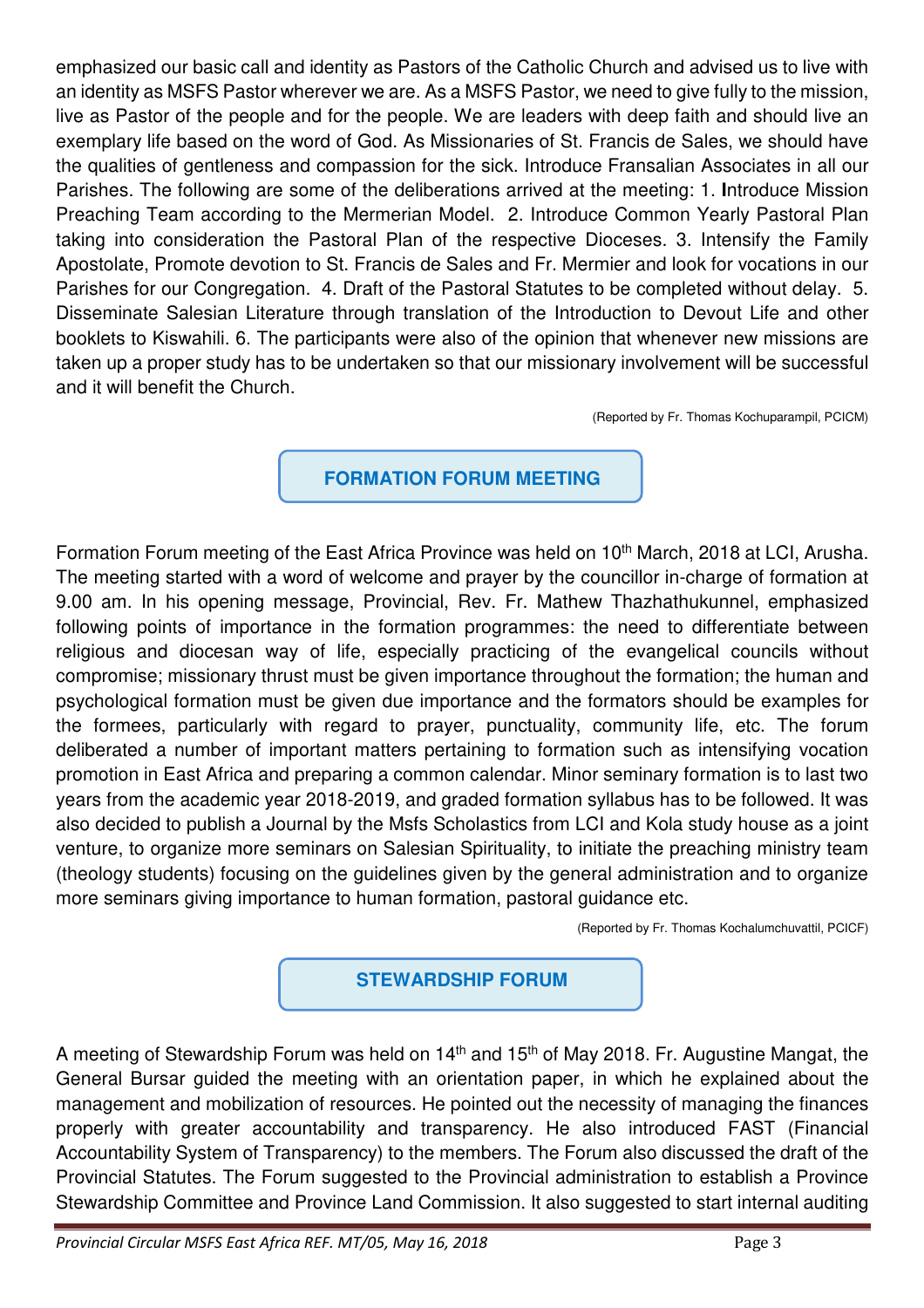emphasized our basic call and identity as Pastors of the Catholic Church and advised us to live with an identity as MSFS Pastor wherever we are. As a MSFS Pastor, we need to give fully to the mission, live as Pastor of the people and for the people. We are leaders with deep faith and should live an exemplary life based on the word of God. As Missionaries of St. Francis de Sales, we should have the qualities of gentleness and compassion for the sick. Introduce Fransalian Associates in all our Parishes. The following are some of the deliberations arrived at the meeting: 1. **I**ntroduce Mission Preaching Team according to the Mermerian Model. 2. Introduce Common Yearly Pastoral Plan taking into consideration the Pastoral Plan of the respective Dioceses. 3. Intensify the Family Apostolate, Promote devotion to St. Francis de Sales and Fr. Mermier and look for vocations in our Parishes for our Congregation. 4. Draft of the Pastoral Statutes to be completed without delay. 5. Disseminate Salesian Literature through translation of the Introduction to Devout Life and other booklets to Kiswahili. 6. The participants were also of the opinion that whenever new missions are taken up a proper study has to be undertaken so that our missionary involvement will be successful and it will benefit the Church.

(Reported by Fr. Thomas Kochuparampil, PCICM)

## **FORMATION FORUM MEETING**

Formation Forum meeting of the East Africa Province was held on 10<sup>th</sup> March, 2018 at LCI, Arusha. The meeting started with a word of welcome and prayer by the councillor in-charge of formation at 9.00 am. In his opening message, Provincial, Rev. Fr. Mathew Thazhathukunnel, emphasized following points of importance in the formation programmes: the need to differentiate between religious and diocesan way of life, especially practicing of the evangelical councils without compromise; missionary thrust must be given importance throughout the formation; the human and psychological formation must be given due importance and the formators should be examples for the formees, particularly with regard to prayer, punctuality, community life, etc. The forum deliberated a number of important matters pertaining to formation such as intensifying vocation promotion in East Africa and preparing a common calendar. Minor seminary formation is to last two years from the academic year 2018-2019, and graded formation syllabus has to be followed. It was also decided to publish a Journal by the Msfs Scholastics from LCI and Kola study house as a joint venture, to organize more seminars on Salesian Spirituality, to initiate the preaching ministry team (theology students) focusing on the guidelines given by the general administration and to organize more seminars giving importance to human formation, pastoral guidance etc.

(Reported by Fr. Thomas Kochalumchuvattil, PCICF)

## **STEWARDSHIP FORUM**

A meeting of Stewardship Forum was held on 14<sup>th</sup> and 15<sup>th</sup> of May 2018. Fr. Augustine Mangat, the General Bursar guided the meeting with an orientation paper, in which he explained about the management and mobilization of resources. He pointed out the necessity of managing the finances properly with greater accountability and transparency. He also introduced FAST (Financial Accountability System of Transparency) to the members. The Forum also discussed the draft of the Provincial Statutes. The Forum suggested to the Provincial administration to establish a Province Stewardship Committee and Province Land Commission. It also suggested to start internal auditing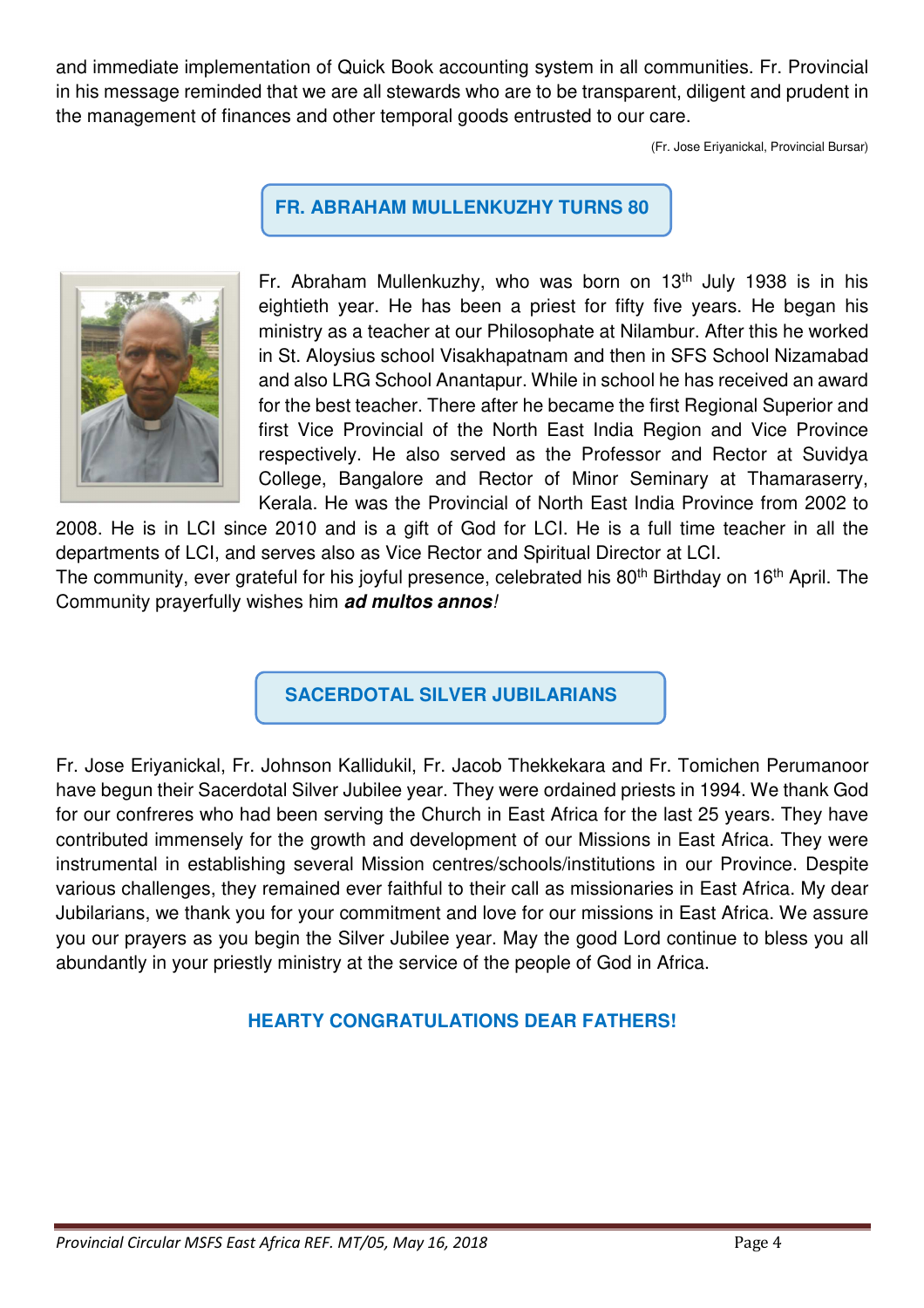and immediate implementation of Quick Book accounting system in all communities. Fr. Provincial in his message reminded that we are all stewards who are to be transparent, diligent and prudent in the management of finances and other temporal goods entrusted to our care.

(Fr. Jose Eriyanickal, Provincial Bursar)

**FR. ABRAHAM MULLENKUZHY TURNS 80**



Fr. Abraham Mullenkuzhy, who was born on 13<sup>th</sup> July 1938 is in his eightieth year. He has been a priest for fifty five years. He began his ministry as a teacher at our Philosophate at Nilambur. After this he worked in St. Aloysius school Visakhapatnam and then in SFS School Nizamabad and also LRG School Anantapur. While in school he has received an award for the best teacher. There after he became the first Regional Superior and first Vice Provincial of the North East India Region and Vice Province respectively. He also served as the Professor and Rector at Suvidya College, Bangalore and Rector of Minor Seminary at Thamaraserry, Kerala. He was the Provincial of North East India Province from 2002 to

2008. He is in LCI since 2010 and is a gift of God for LCI. He is a full time teacher in all the departments of LCI, and serves also as Vice Rector and Spiritual Director at LCI.

The community, ever grateful for his joyful presence, celebrated his 80<sup>th</sup> Birthday on 16<sup>th</sup> April. The Community prayerfully wishes him **ad multos annos**!

**SACERDOTAL SILVER JUBILARIANS**

Fr. Jose Eriyanickal, Fr. Johnson Kallidukil, Fr. Jacob Thekkekara and Fr. Tomichen Perumanoor have begun their Sacerdotal Silver Jubilee year. They were ordained priests in 1994. We thank God for our confreres who had been serving the Church in East Africa for the last 25 years. They have contributed immensely for the growth and development of our Missions in East Africa. They were instrumental in establishing several Mission centres/schools/institutions in our Province. Despite various challenges, they remained ever faithful to their call as missionaries in East Africa. My dear Jubilarians, we thank you for your commitment and love for our missions in East Africa. We assure you our prayers as you begin the Silver Jubilee year. May the good Lord continue to bless you all abundantly in your priestly ministry at the service of the people of God in Africa.

## **HEARTY CONGRATULATIONS DEAR FATHERS!**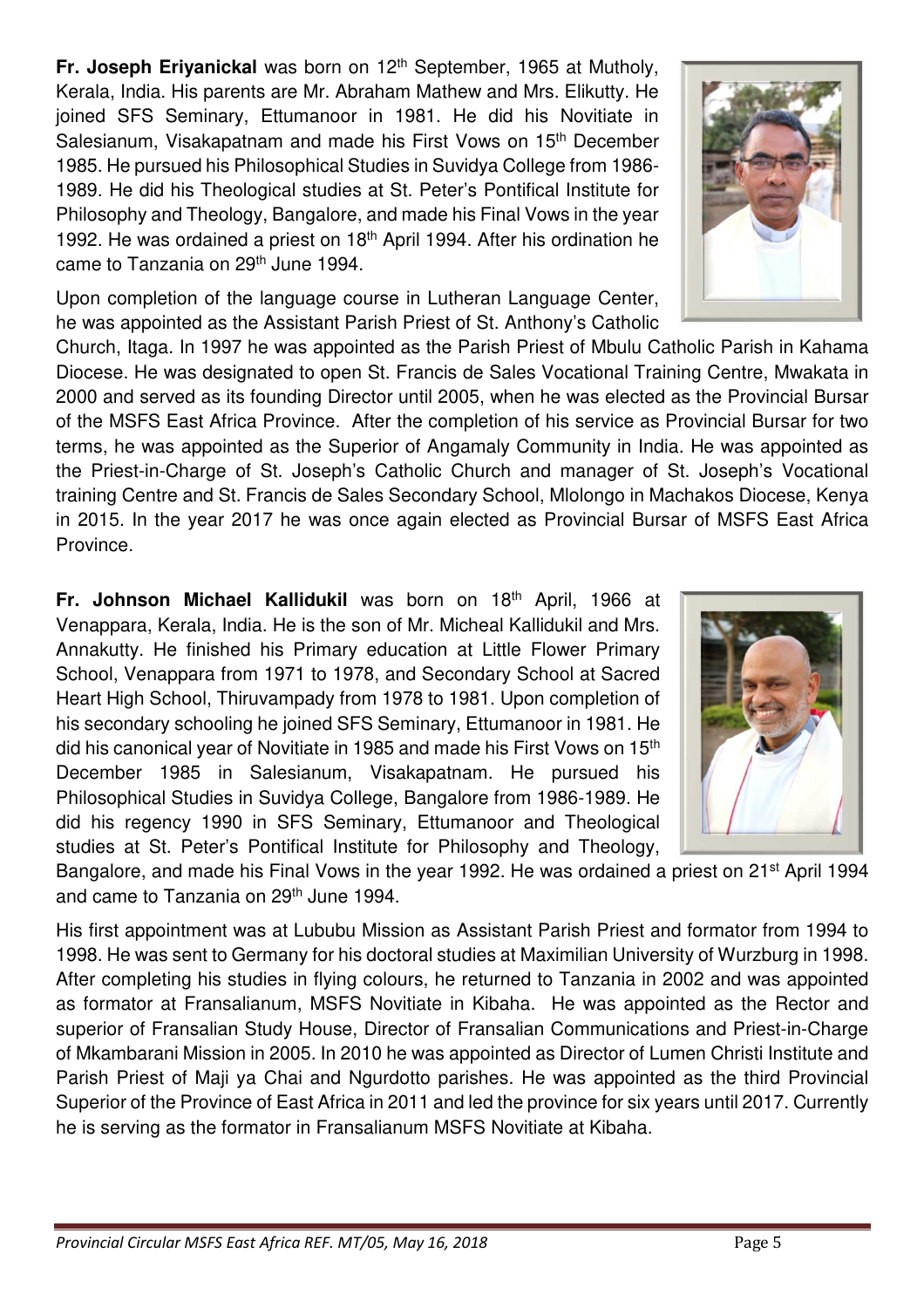**Fr. Joseph Eriyanickal** was born on 12<sup>th</sup> September, 1965 at Mutholy, Kerala, India. His parents are Mr. Abraham Mathew and Mrs. Elikutty. He joined SFS Seminary, Ettumanoor in 1981. He did his Novitiate in Salesianum, Visakapatnam and made his First Vows on 15<sup>th</sup> December 1985. He pursued his Philosophical Studies in Suvidya College from 1986- 1989. He did his Theological studies at St. Peter's Pontifical Institute for Philosophy and Theology, Bangalore, and made his Final Vows in the year 1992. He was ordained a priest on 18<sup>th</sup> April 1994. After his ordination he came to Tanzania on 29<sup>th</sup> June 1994.

Upon completion of the language course in Lutheran Language Center, he was appointed as the Assistant Parish Priest of St. Anthony's Catholic

Church, Itaga. In 1997 he was appointed as the Parish Priest of Mbulu Catholic Parish in Kahama Diocese. He was designated to open St. Francis de Sales Vocational Training Centre, Mwakata in 2000 and served as its founding Director until 2005, when he was elected as the Provincial Bursar of the MSFS East Africa Province. After the completion of his service as Provincial Bursar for two terms, he was appointed as the Superior of Angamaly Community in India. He was appointed as the Priest-in-Charge of St. Joseph's Catholic Church and manager of St. Joseph's Vocational training Centre and St. Francis de Sales Secondary School, Mlolongo in Machakos Diocese, Kenya in 2015. In the year 2017 he was once again elected as Provincial Bursar of MSFS East Africa Province.

**Fr. Johnson Michael Kallidukil** was born on 18th April, 1966 at Venappara, Kerala, India. He is the son of Mr. Micheal Kallidukil and Mrs. Annakutty. He finished his Primary education at Little Flower Primary School, Venappara from 1971 to 1978, and Secondary School at Sacred Heart High School, Thiruvampady from 1978 to 1981. Upon completion of his secondary schooling he joined SFS Seminary, Ettumanoor in 1981. He did his canonical year of Novitiate in 1985 and made his First Vows on 15<sup>th</sup> December 1985 in Salesianum, Visakapatnam. He pursued his Philosophical Studies in Suvidya College, Bangalore from 1986-1989. He did his regency 1990 in SFS Seminary, Ettumanoor and Theological studies at St. Peter's Pontifical Institute for Philosophy and Theology,

Bangalore, and made his Final Vows in the year 1992. He was ordained a priest on 21st April 1994 and came to Tanzania on 29<sup>th</sup> June 1994.

His first appointment was at Lububu Mission as Assistant Parish Priest and formator from 1994 to 1998. He was sent to Germany for his doctoral studies at Maximilian University of Wurzburg in 1998. After completing his studies in flying colours, he returned to Tanzania in 2002 and was appointed as formator at Fransalianum, MSFS Novitiate in Kibaha. He was appointed as the Rector and superior of Fransalian Study House, Director of Fransalian Communications and Priest-in-Charge of Mkambarani Mission in 2005. In 2010 he was appointed as Director of Lumen Christi Institute and Parish Priest of Maji ya Chai and Ngurdotto parishes. He was appointed as the third Provincial Superior of the Province of East Africa in 2011 and led the province for six years until 2017. Currently he is serving as the formator in Fransalianum MSFS Novitiate at Kibaha.



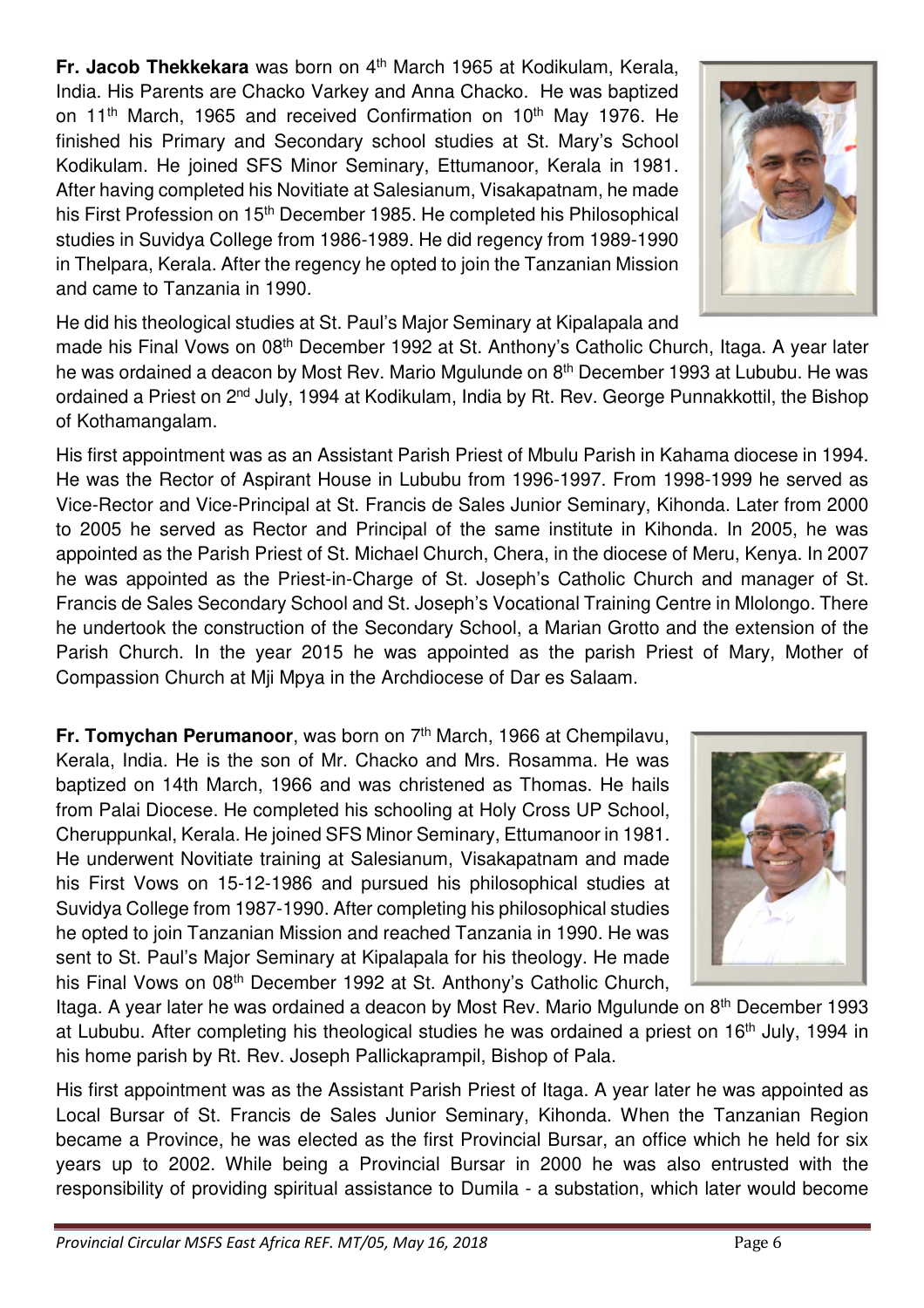**Fr. Jacob Thekkekara** was born on 4th March 1965 at Kodikulam, Kerala, India. His Parents are Chacko Varkey and Anna Chacko. He was baptized on 11<sup>th</sup> March, 1965 and received Confirmation on 10<sup>th</sup> May 1976. He finished his Primary and Secondary school studies at St. Mary's School Kodikulam. He joined SFS Minor Seminary, Ettumanoor, Kerala in 1981. After having completed his Novitiate at Salesianum, Visakapatnam, he made his First Profession on 15<sup>th</sup> December 1985. He completed his Philosophical studies in Suvidya College from 1986-1989. He did regency from 1989-1990 in Thelpara, Kerala. After the regency he opted to join the Tanzanian Mission and came to Tanzania in 1990.



He did his theological studies at St. Paul's Major Seminary at Kipalapala and

made his Final Vows on 08<sup>th</sup> December 1992 at St. Anthony's Catholic Church, Itaga. A year later he was ordained a deacon by Most Rev. Mario Mgulunde on 8<sup>th</sup> December 1993 at Lububu. He was ordained a Priest on 2<sup>nd</sup> July, 1994 at Kodikulam, India by Rt. Rev. George Punnakkottil, the Bishop of Kothamangalam.

His first appointment was as an Assistant Parish Priest of Mbulu Parish in Kahama diocese in 1994. He was the Rector of Aspirant House in Lububu from 1996-1997. From 1998-1999 he served as Vice-Rector and Vice-Principal at St. Francis de Sales Junior Seminary, Kihonda. Later from 2000 to 2005 he served as Rector and Principal of the same institute in Kihonda. In 2005, he was appointed as the Parish Priest of St. Michael Church, Chera, in the diocese of Meru, Kenya. In 2007 he was appointed as the Priest-in-Charge of St. Joseph's Catholic Church and manager of St. Francis de Sales Secondary School and St. Joseph's Vocational Training Centre in Mlolongo. There he undertook the construction of the Secondary School, a Marian Grotto and the extension of the Parish Church. In the year 2015 he was appointed as the parish Priest of Mary, Mother of Compassion Church at Mji Mpya in the Archdiocese of Dar es Salaam.

**Fr. Tomychan Perumanoor**, was born on 7<sup>th</sup> March, 1966 at Chempilavu, Kerala, India. He is the son of Mr. Chacko and Mrs. Rosamma. He was baptized on 14th March, 1966 and was christened as Thomas. He hails from Palai Diocese. He completed his schooling at Holy Cross UP School, Cheruppunkal, Kerala. He joined SFS Minor Seminary, Ettumanoor in 1981. He underwent Novitiate training at Salesianum, Visakapatnam and made his First Vows on 15-12-1986 and pursued his philosophical studies at Suvidya College from 1987-1990. After completing his philosophical studies he opted to join Tanzanian Mission and reached Tanzania in 1990. He was sent to St. Paul's Major Seminary at Kipalapala for his theology. He made his Final Vows on 08<sup>th</sup> December 1992 at St. Anthony's Catholic Church,

Itaga. A year later he was ordained a deacon by Most Rev. Mario Mgulunde on 8<sup>th</sup> December 1993 at Lububu. After completing his theological studies he was ordained a priest on 16<sup>th</sup> July, 1994 in his home parish by Rt. Rev. Joseph Pallickaprampil, Bishop of Pala.

His first appointment was as the Assistant Parish Priest of Itaga. A year later he was appointed as Local Bursar of St. Francis de Sales Junior Seminary, Kihonda. When the Tanzanian Region became a Province, he was elected as the first Provincial Bursar, an office which he held for six years up to 2002. While being a Provincial Bursar in 2000 he was also entrusted with the responsibility of providing spiritual assistance to Dumila - a substation, which later would become

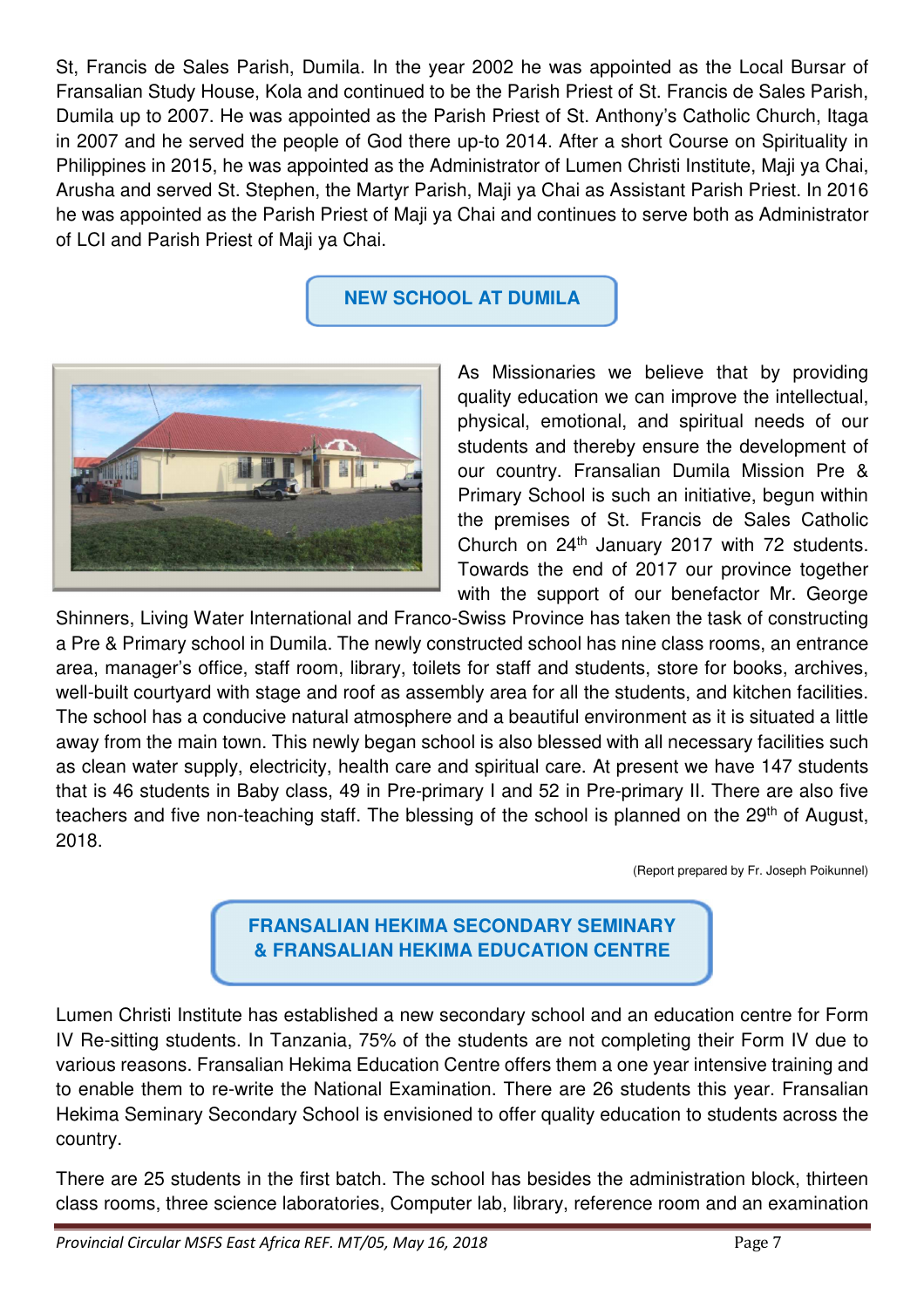St, Francis de Sales Parish, Dumila. In the year 2002 he was appointed as the Local Bursar of Fransalian Study House, Kola and continued to be the Parish Priest of St. Francis de Sales Parish, Dumila up to 2007. He was appointed as the Parish Priest of St. Anthony's Catholic Church, Itaga in 2007 and he served the people of God there up-to 2014. After a short Course on Spirituality in Philippines in 2015, he was appointed as the Administrator of Lumen Christi Institute, Maji ya Chai, Arusha and served St. Stephen, the Martyr Parish, Maji ya Chai as Assistant Parish Priest. In 2016 he was appointed as the Parish Priest of Maji ya Chai and continues to serve both as Administrator of LCI and Parish Priest of Maji ya Chai.

# **NEW SCHOOL AT DUMILA**



As Missionaries we believe that by providing quality education we can improve the intellectual, physical, emotional, and spiritual needs of our students and thereby ensure the development of our country. Fransalian Dumila Mission Pre & Primary School is such an initiative, begun within the premises of St. Francis de Sales Catholic Church on 24th January 2017 with 72 students. Towards the end of 2017 our province together with the support of our benefactor Mr. George

Shinners, Living Water International and Franco-Swiss Province has taken the task of constructing a Pre & Primary school in Dumila. The newly constructed school has nine class rooms, an entrance area, manager's office, staff room, library, toilets for staff and students, store for books, archives, well-built courtyard with stage and roof as assembly area for all the students, and kitchen facilities. The school has a conducive natural atmosphere and a beautiful environment as it is situated a little away from the main town. This newly began school is also blessed with all necessary facilities such as clean water supply, electricity, health care and spiritual care. At present we have 147 students that is 46 students in Baby class, 49 in Pre-primary I and 52 in Pre-primary II. There are also five teachers and five non-teaching staff. The blessing of the school is planned on the 29<sup>th</sup> of August, 2018.

(Report prepared by Fr. Joseph Poikunnel)

## **FRANSALIAN HEKIMA SECONDARY SEMINARY & FRANSALIAN HEKIMA EDUCATION CENTRE**

Lumen Christi Institute has established a new secondary school and an education centre for Form IV Re-sitting students. In Tanzania, 75% of the students are not completing their Form IV due to various reasons. Fransalian Hekima Education Centre offers them a one year intensive training and to enable them to re-write the National Examination. There are 26 students this year. Fransalian Hekima Seminary Secondary School is envisioned to offer quality education to students across the country.

There are 25 students in the first batch. The school has besides the administration block, thirteen class rooms, three science laboratories, Computer lab, library, reference room and an examination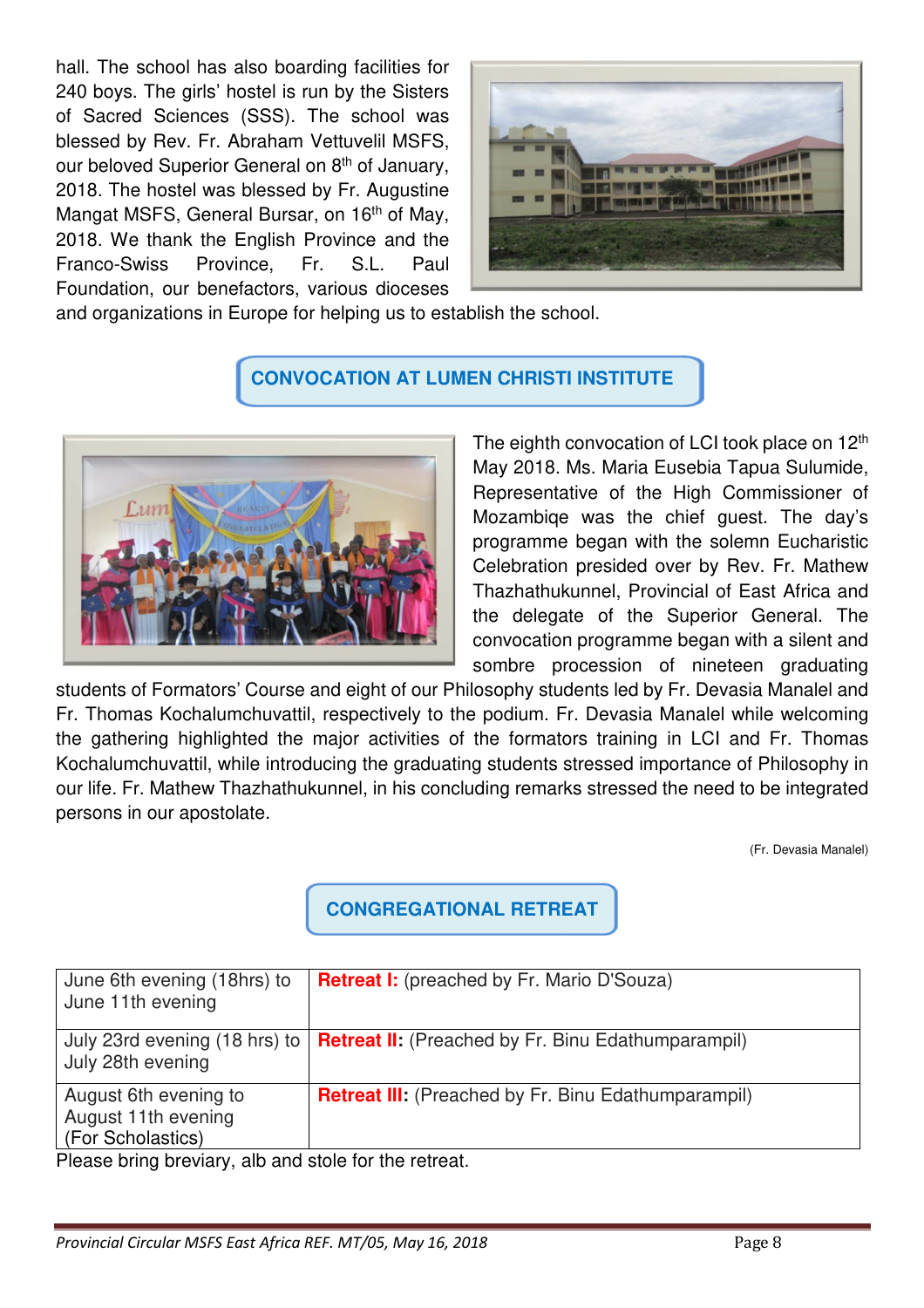hall. The school has also boarding facilities for 240 boys. The girls' hostel is run by the Sisters of Sacred Sciences (SSS). The school was blessed by Rev. Fr. Abraham Vettuvelil MSFS, our beloved Superior General on 8<sup>th</sup> of January, 2018. The hostel was blessed by Fr. Augustine Mangat MSFS, General Bursar, on 16<sup>th</sup> of May, 2018. We thank the English Province and the Franco-Swiss Province, Fr. S.L. Paul Foundation, our benefactors, various dioceses



and organizations in Europe for helping us to establish the school.

## **CONVOCATION AT LUMEN CHRISTI INSTITUTE**



The eighth convocation of LCI took place on 12<sup>th</sup> May 2018. Ms. Maria Eusebia Tapua Sulumide, Representative of the High Commissioner of Mozambiqe was the chief guest. The day's programme began with the solemn Eucharistic Celebration presided over by Rev. Fr. Mathew Thazhathukunnel, Provincial of East Africa and the delegate of the Superior General. The convocation programme began with a silent and sombre procession of nineteen graduating

students of Formators' Course and eight of our Philosophy students led by Fr. Devasia Manalel and Fr. Thomas Kochalumchuvattil, respectively to the podium. Fr. Devasia Manalel while welcoming the gathering highlighted the major activities of the formators training in LCI and Fr. Thomas Kochalumchuvattil, while introducing the graduating students stressed importance of Philosophy in our life. Fr. Mathew Thazhathukunnel, in his concluding remarks stressed the need to be integrated persons in our apostolate.

(Fr. Devasia Manalel)

# **CONGREGATIONAL RETREAT**

| June 6th evening (18hrs) to<br>June 11th evening                  | <b>Retreat I:</b> (preached by Fr. Mario D'Souza)          |
|-------------------------------------------------------------------|------------------------------------------------------------|
| July 23rd evening (18 hrs) to<br>July 28th evening                | <b>Retreat II:</b> (Preached by Fr. Binu Edathumparampil)  |
| August 6th evening to<br>August 11th evening<br>(For Scholastics) | <b>Retreat III:</b> (Preached by Fr. Binu Edathumparampil) |

Please bring breviary, alb and stole for the retreat.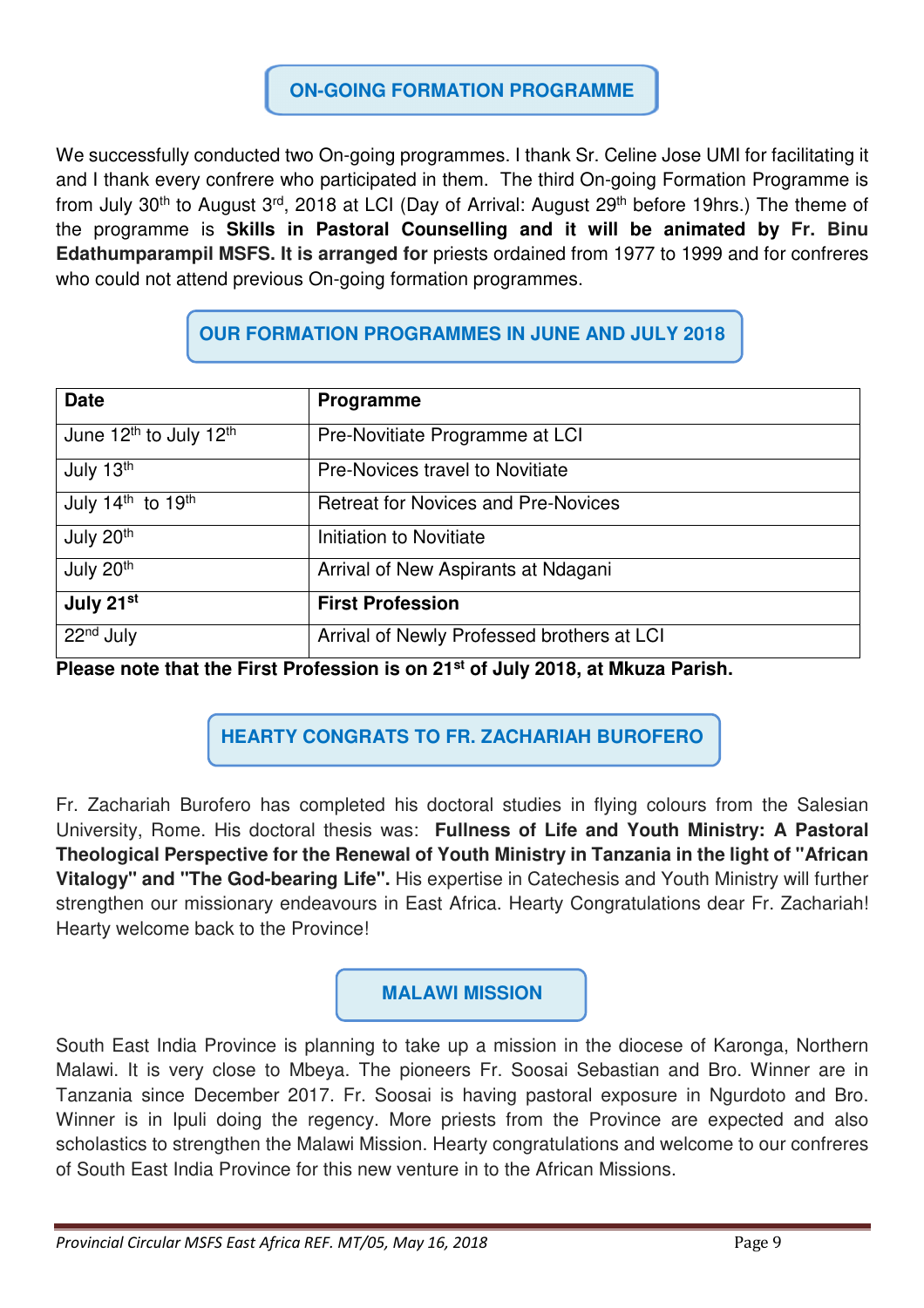## **ON-GOING FORMATION PROGRAMME**

We successfully conducted two On-going programmes. I thank Sr. Celine Jose UMI for facilitating it and I thank every confrere who participated in them. The third On-going Formation Programme is from July 30<sup>th</sup> to August 3<sup>rd</sup>, 2018 at LCI (Day of Arrival: August 29<sup>th</sup> before 19hrs.) The theme of the programme is **Skills in Pastoral Counselling and it will be animated by Fr. Binu Edathumparampil MSFS. It is arranged for** priests ordained from 1977 to 1999 and for confreres who could not attend previous On-going formation programmes.

# **OUR FORMATION PROGRAMMES IN JUNE AND JULY 2018**

| <b>Date</b>                                    | Programme                                  |
|------------------------------------------------|--------------------------------------------|
| June 12 <sup>th</sup> to July 12 <sup>th</sup> | Pre-Novitiate Programme at LCI             |
| July 13th                                      | <b>Pre-Novices travel to Novitiate</b>     |
| July 14th to 19th                              | <b>Retreat for Novices and Pre-Novices</b> |
| July 20th                                      | Initiation to Novitiate                    |
| July 20th                                      | Arrival of New Aspirants at Ndagani        |
| July 21st                                      | <b>First Profession</b>                    |
| 22 <sup>nd</sup> July                          | Arrival of Newly Professed brothers at LCI |

**Please note that the First Profession is on 21st of July 2018, at Mkuza Parish.** 

# **HEARTY CONGRATS TO FR. ZACHARIAH BUROFERO**

Fr. Zachariah Burofero has completed his doctoral studies in flying colours from the Salesian University, Rome. His doctoral thesis was: **Fullness of Life and Youth Ministry: A Pastoral Theological Perspective for the Renewal of Youth Ministry in Tanzania in the light of "African Vitalogy" and "The God-bearing Life".** His expertise in Catechesis and Youth Ministry will further strengthen our missionary endeavours in East Africa. Hearty Congratulations dear Fr. Zachariah! Hearty welcome back to the Province!

## **MALAWI MISSION**

South East India Province is planning to take up a mission in the diocese of Karonga, Northern Malawi. It is very close to Mbeya. The pioneers Fr. Soosai Sebastian and Bro. Winner are in Tanzania since December 2017. Fr. Soosai is having pastoral exposure in Ngurdoto and Bro. Winner is in Ipuli doing the regency. More priests from the Province are expected and also scholastics to strengthen the Malawi Mission. Hearty congratulations and welcome to our confreres of South East India Province for this new venture in to the African Missions.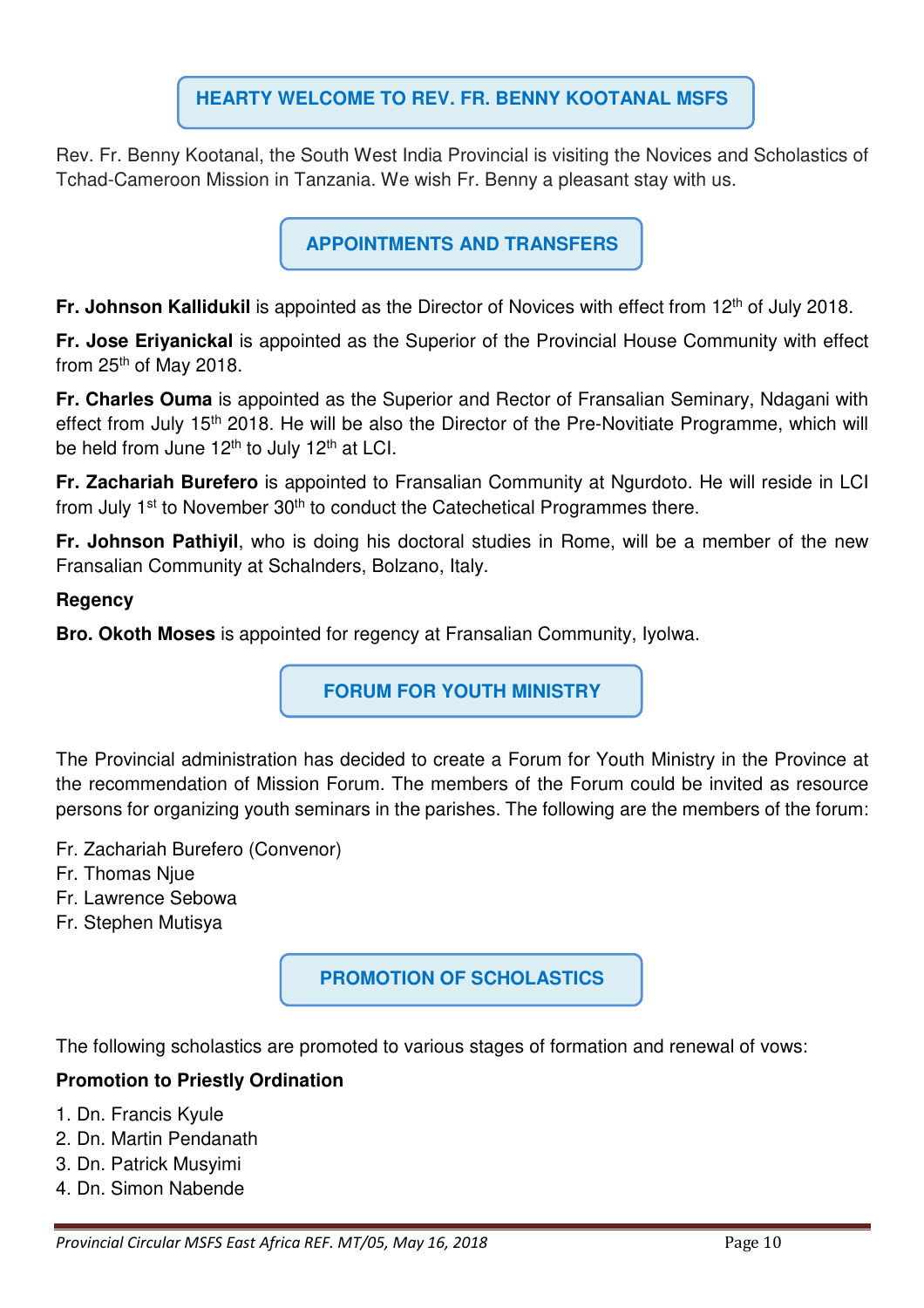## **HEARTY WELCOME TO REV. FR. BENNY KOOTANAL MSFS**

Rev. Fr. Benny Kootanal, the South West India Provincial is visiting the Novices and Scholastics of Tchad-Cameroon Mission in Tanzania. We wish Fr. Benny a pleasant stay with us.

**APPOINTMENTS AND TRANSFERS** 

**Fr. Johnson Kallidukil** is appointed as the Director of Novices with effect from 12<sup>th</sup> of July 2018.

**Fr. Jose Eriyanickal** is appointed as the Superior of the Provincial House Community with effect from 25th of May 2018.

**Fr. Charles Ouma** is appointed as the Superior and Rector of Fransalian Seminary, Ndagani with effect from July 15<sup>th</sup> 2018. He will be also the Director of the Pre-Novitiate Programme, which will be held from June 12<sup>th</sup> to July 12<sup>th</sup> at LCI.

**Fr. Zachariah Burefero** is appointed to Fransalian Community at Ngurdoto. He will reside in LCI from July 1<sup>st</sup> to November 30<sup>th</sup> to conduct the Catechetical Programmes there.

**Fr. Johnson Pathiyil**, who is doing his doctoral studies in Rome, will be a member of the new Fransalian Community at Schalnders, Bolzano, Italy.

### **Regency**

**Bro. Okoth Moses** is appointed for regency at Fransalian Community, Iyolwa.

**FORUM FOR YOUTH MINISTRY** 

The Provincial administration has decided to create a Forum for Youth Ministry in the Province at the recommendation of Mission Forum. The members of the Forum could be invited as resource persons for organizing youth seminars in the parishes. The following are the members of the forum:

- Fr. Zachariah Burefero (Convenor)
- Fr. Thomas Njue
- Fr. Lawrence Sebowa
- Fr. Stephen Mutisya

**PROMOTION OF SCHOLASTICS** 

The following scholastics are promoted to various stages of formation and renewal of vows:

### **Promotion to Priestly Ordination**

- 1. Dn. Francis Kyule
- 2. Dn. Martin Pendanath
- 3. Dn. Patrick Musyimi
- 4. Dn. Simon Nabende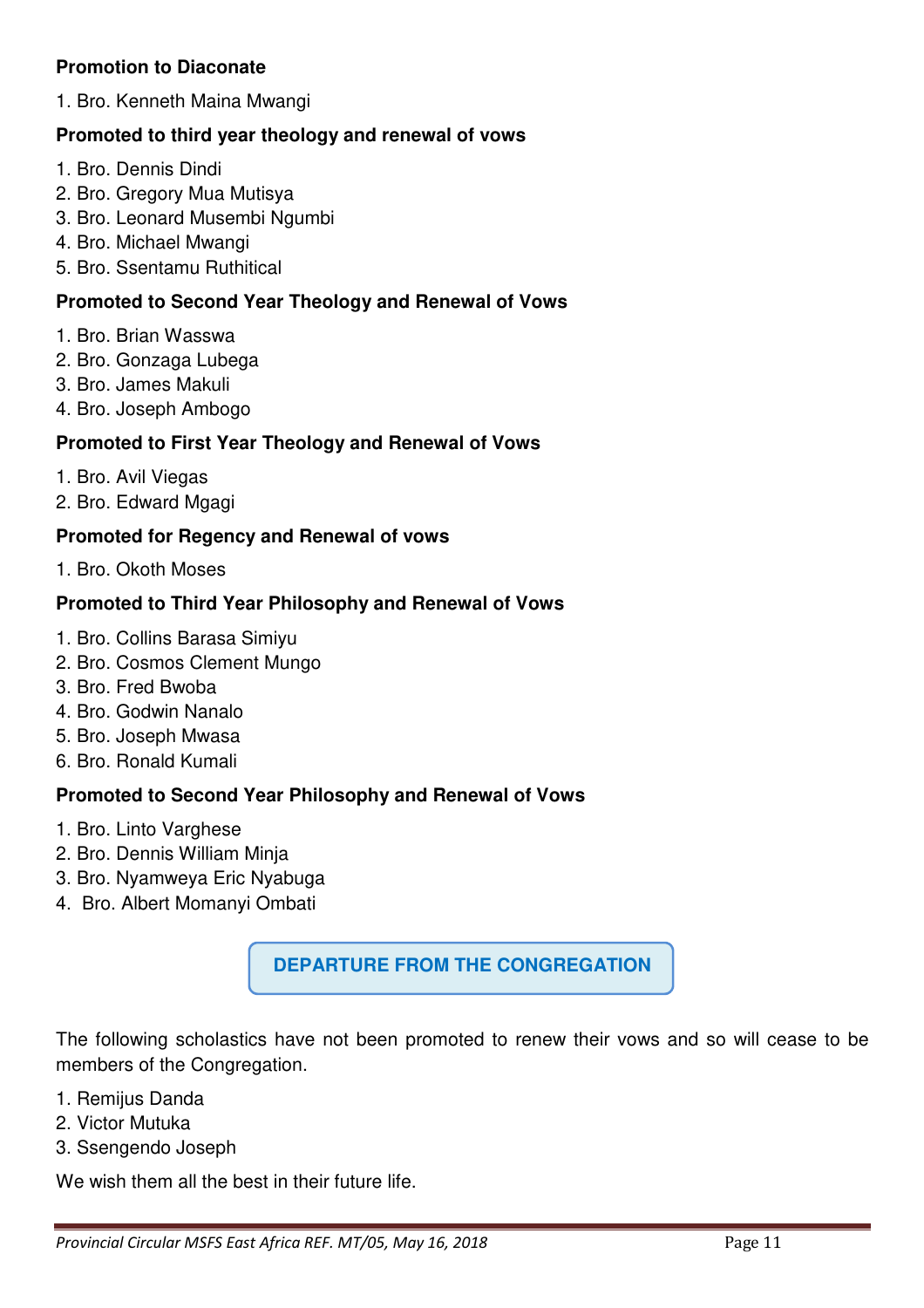### **Promotion to Diaconate**

1. Bro. Kenneth Maina Mwangi

### **Promoted to third year theology and renewal of vows**

- 1. Bro. Dennis Dindi
- 2. Bro. Gregory Mua Mutisya
- 3. Bro. Leonard Musembi Ngumbi
- 4. Bro. Michael Mwangi
- 5. Bro. Ssentamu Ruthitical

#### **Promoted to Second Year Theology and Renewal of Vows**

- 1. Bro. Brian Wasswa
- 2. Bro. Gonzaga Lubega
- 3. Bro. James Makuli
- 4. Bro. Joseph Ambogo

### **Promoted to First Year Theology and Renewal of Vows**

- 1. Bro. Avil Viegas
- 2. Bro. Edward Mgagi

#### **Promoted for Regency and Renewal of vows**

1. Bro. Okoth Moses

#### **Promoted to Third Year Philosophy and Renewal of Vows**

- 1. Bro. Collins Barasa Simiyu
- 2. Bro. Cosmos Clement Mungo
- 3. Bro. Fred Bwoba
- 4. Bro. Godwin Nanalo
- 5. Bro. Joseph Mwasa
- 6. Bro. Ronald Kumali

#### **Promoted to Second Year Philosophy and Renewal of Vows**

- 1. Bro. Linto Varghese
- 2. Bro. Dennis William Minja
- 3. Bro. Nyamweya Eric Nyabuga
- 4. Bro. Albert Momanyi Ombati

## **DEPARTURE FROM THE CONGREGATION**

The following scholastics have not been promoted to renew their vows and so will cease to be members of the Congregation.

- 1. Remijus Danda
- 2. Victor Mutuka
- 3. Ssengendo Joseph

We wish them all the best in their future life.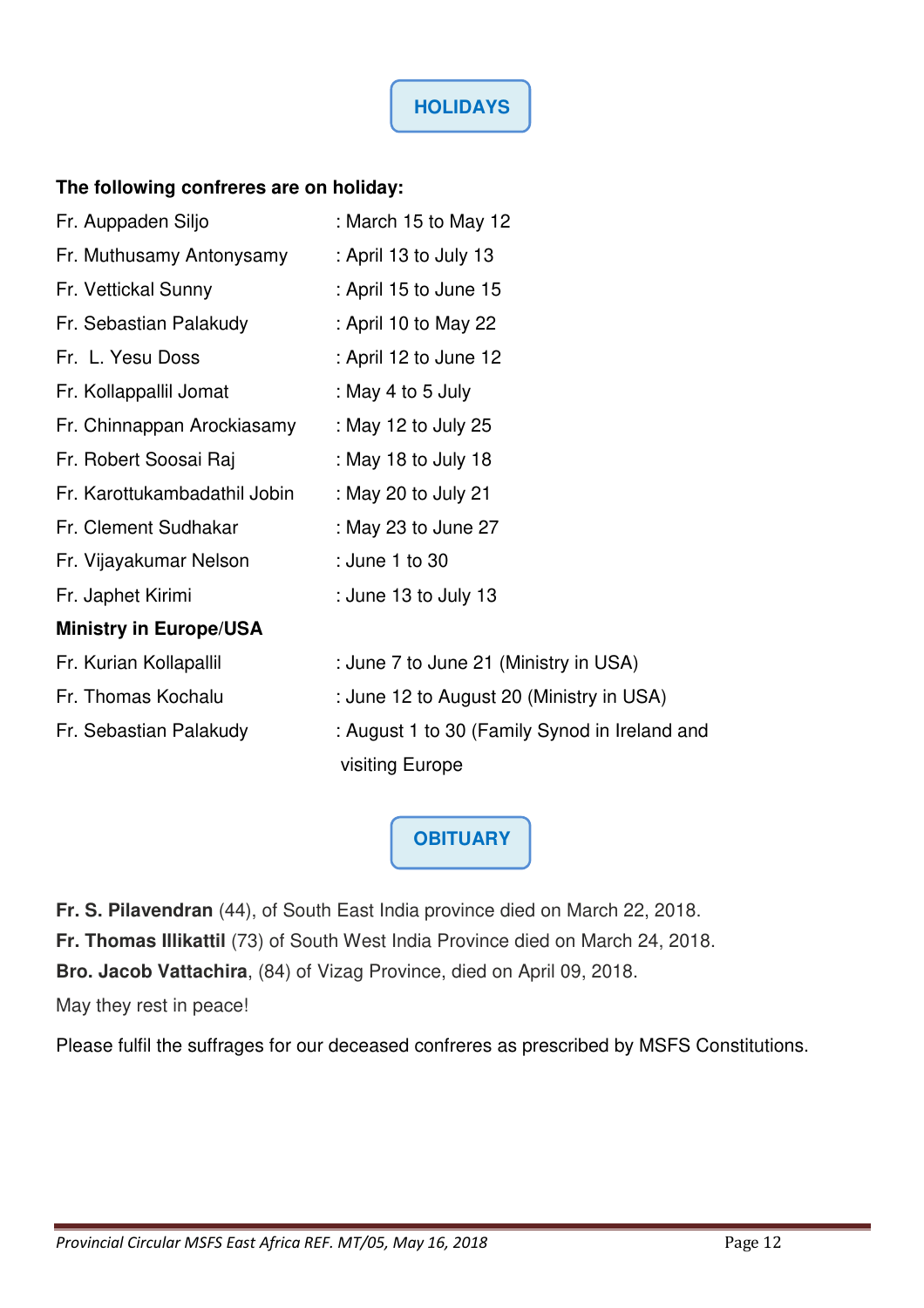### **The following confreres are on holiday:**

| Fr. Auppaden Siljo            | : March 15 to May 12                          |
|-------------------------------|-----------------------------------------------|
| Fr. Muthusamy Antonysamy      | : April 13 to July 13                         |
| Fr. Vettickal Sunny           | : April 15 to June 15                         |
| Fr. Sebastian Palakudy        | : April 10 to May 22                          |
| Fr. L. Yesu Doss              | : April 12 to June 12                         |
| Fr. Kollappallil Jomat        | : May 4 to 5 July                             |
| Fr. Chinnappan Arockiasamy    | : May 12 to July 25                           |
| Fr. Robert Soosai Raj         | : May 18 to July 18                           |
| Fr. Karottukambadathil Jobin  | : May 20 to July 21                           |
| Fr. Clement Sudhakar          | : May 23 to June 27                           |
| Fr. Vijayakumar Nelson        | : June 1 to 30                                |
| Fr. Japhet Kirimi             | : June 13 to July 13                          |
| <b>Ministry in Europe/USA</b> |                                               |
| Fr. Kurian Kollapallil        | : June 7 to June 21 (Ministry in USA)         |
| Fr. Thomas Kochalu            | : June 12 to August 20 (Ministry in USA)      |
| Fr. Sebastian Palakudy        | : August 1 to 30 (Family Synod in Ireland and |
|                               | visiting Europe                               |

**OBITUARY**

**Fr. S. Pilavendran** (44), of South East India province died on March 22, 2018.

**Fr. Thomas Illikattil** (73) of South West India Province died on March 24, 2018.

**Bro. Jacob Vattachira**, (84) of Vizag Province, died on April 09, 2018.

May they rest in peace!

Please fulfil the suffrages for our deceased confreres as prescribed by MSFS Constitutions.